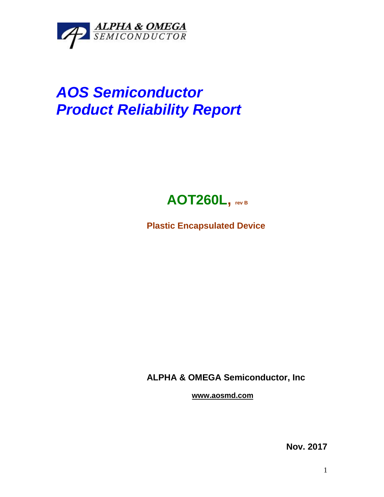

## *AOS Semiconductor Product Reliability Report*



**Plastic Encapsulated Device**

**ALPHA & OMEGA Semiconductor, Inc**

**www.aosmd.com**

**Nov. 2017**